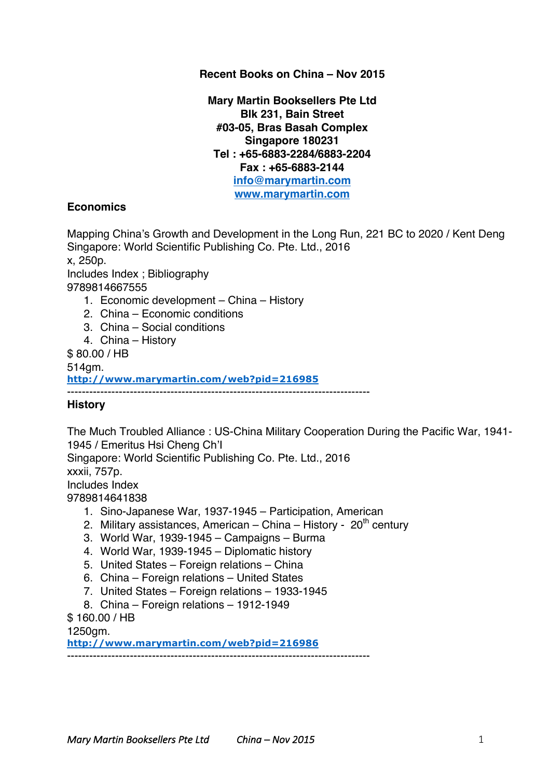## **Recent Books on China – Nov 2015**

**Mary Martin Booksellers Pte Ltd Blk 231, Bain Street #03-05, Bras Basah Complex Singapore 180231 Tel : +65-6883-2284/6883-2204 Fax : +65-6883-2144 info@marymartin.com www.marymartin.com**

## **Economics**

Mapping China's Growth and Development in the Long Run, 221 BC to 2020 / Kent Deng Singapore: World Scientific Publishing Co. Pte. Ltd., 2016 x, 250p. Includes Index ; Bibliography 9789814667555

- 1. Economic development China History
- 2. China Economic conditions
- 3. China Social conditions
- 4. China History

\$ 80.00 / HB

514gm.

**http://www.marymartin.com/web?pid=216985**

----------------------------------------------------------------------------------

## **History**

The Much Troubled Alliance : US-China Military Cooperation During the Pacific War, 1941- 1945 / Emeritus Hsi Cheng Ch'I Singapore: World Scientific Publishing Co. Pte. Ltd., 2016 xxxii, 757p. Includes Index 9789814641838

- 1. Sino-Japanese War, 1937-1945 Participation, American
- 2. Military assistances, American China History  $20<sup>th</sup>$  century
- 3. World War, 1939-1945 Campaigns Burma
- 4. World War, 1939-1945 Diplomatic history
- 5. United States Foreign relations China
- 6. China Foreign relations United States
- 7. United States Foreign relations 1933-1945
- 8. China Foreign relations 1912-1949

\$ 160.00 / HB

1250gm.

**http://www.marymartin.com/web?pid=216986**

----------------------------------------------------------------------------------